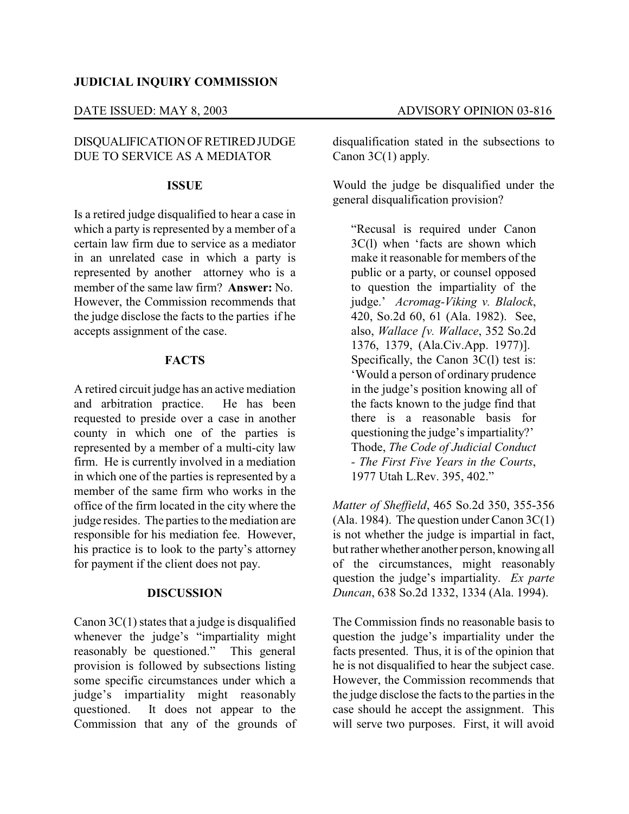## **JUDICIAL INQUIRY COMMISSION**

# DISQUALIFICATION OF RETIRED JUDGE DUE TO SERVICE AS A MEDIATOR

#### **ISSUE**

Is a retired judge disqualified to hear a case in which a party is represented by a member of a certain law firm due to service as a mediator in an unrelated case in which a party is represented by another attorney who is a member of the same law firm? **Answer:** No. However, the Commission recommends that the judge disclose the facts to the parties if he accepts assignment of the case.

### **FACTS**

A retired circuit judge has an active mediation and arbitration practice. He has been requested to preside over a case in another county in which one of the parties is represented by a member of a multi-city law firm. He is currently involved in a mediation in which one of the parties is represented by a member of the same firm who works in the office of the firm located in the city where the judge resides. The parties to the mediation are responsible for his mediation fee. However, his practice is to look to the party's attorney for payment if the client does not pay.

#### **DISCUSSION**

Canon  $3C(1)$  states that a judge is disqualified whenever the judge's "impartiality might<br>reasonably be questioned." This general reasonably be questioned." provision is followed by subsections listing some specific circumstances under which a judge's impartiality might reasonably questioned. It does not appear to the Commission that any of the grounds of disqualification stated in the subsections to Canon 3C(1) apply.

Would the judge be disqualified under the general disqualification provision?

"Recusal is required under Canon 3C(l) when 'facts are shown which make it reasonable for members of the public or a party, or counsel opposed to question the impartiality of the judge.' *Acromag-Viking v. Blalock*, 420, So.2d 60, 61 (Ala. 1982). See, also, *Wallace [v. Wallace*, 352 So.2d 1376, 1379, (Ala.Civ.App. 1977)]. Specifically, the Canon 3C(1) test is: 'Would a person of ordinary prudence in the judge's position knowing all of the facts known to the judge find that there is a reasonable basis for questioning the judge's impartiality?' Thode, *The Code of Judicial Conduct - The First Five Years in the Courts*, 1977 Utah L.Rev. 395, 402."

*Matter of Sheffield*, 465 So.2d 350, 355-356 (Ala. 1984). The question under Canon  $3C(1)$ is not whether the judge is impartial in fact, but rather whether another person, knowing all of the circumstances, might reasonably question the judge's impartiality. *Ex parte Duncan*, 638 So.2d 1332, 1334 (Ala. 1994).

The Commission finds no reasonable basis to question the judge's impartiality under the facts presented. Thus, it is of the opinion that he is not disqualified to hear the subject case. However, the Commission recommends that the judge disclose the facts to the parties in the case should he accept the assignment. This will serve two purposes. First, it will avoid